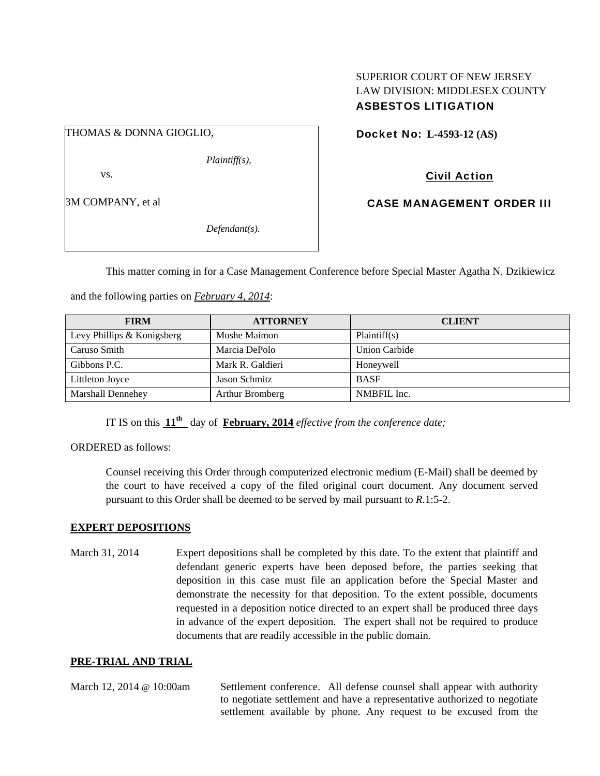#### SUPERIOR COURT OF NEW JERSEY LAW DIVISION: MIDDLESEX COUNTY ASBESTOS LITIGATION

THOMAS & DONNA GIOGLIO,

and the following parties on *February 4, 2014*:

*Plaintiff(s),* 

vs.

3M COMPANY, et al

*Defendant(s).* 

Docket No: **L-4593-12 (AS)** 

Civil Action

CASE MANAGEMENT ORDER III

This matter coming in for a Case Management Conference before Special Master Agatha N. Dzikiewicz

| <b>FIRM</b>                | <b>ATTORNEY</b>  | <b>CLIENT</b> |
|----------------------------|------------------|---------------|
| Levy Phillips & Konigsberg | Moshe Maimon     | Plaintiff(s)  |
| Caruso Smith               | Marcia DePolo    | Union Carbide |
| Gibbons P.C.               | Mark R. Galdieri | Honeywell     |
| Littleton Joyce            | Jason Schmitz    | <b>BASF</b>   |
| Marshall Dennehey          | Arthur Bromberg  | NMBFIL Inc.   |

IT IS on this  $11^{th}$  day of **February, 2014** *effective from the conference date*;

ORDERED as follows:

Counsel receiving this Order through computerized electronic medium (E-Mail) shall be deemed by the court to have received a copy of the filed original court document. Any document served pursuant to this Order shall be deemed to be served by mail pursuant to *R*.1:5-2.

### **EXPERT DEPOSITIONS**

March 31, 2014 Expert depositions shall be completed by this date. To the extent that plaintiff and defendant generic experts have been deposed before, the parties seeking that deposition in this case must file an application before the Special Master and demonstrate the necessity for that deposition. To the extent possible, documents requested in a deposition notice directed to an expert shall be produced three days in advance of the expert deposition. The expert shall not be required to produce documents that are readily accessible in the public domain.

### **PRE-TRIAL AND TRIAL**

March 12, 2014 @ 10:00am Settlement conference. All defense counsel shall appear with authority to negotiate settlement and have a representative authorized to negotiate settlement available by phone. Any request to be excused from the